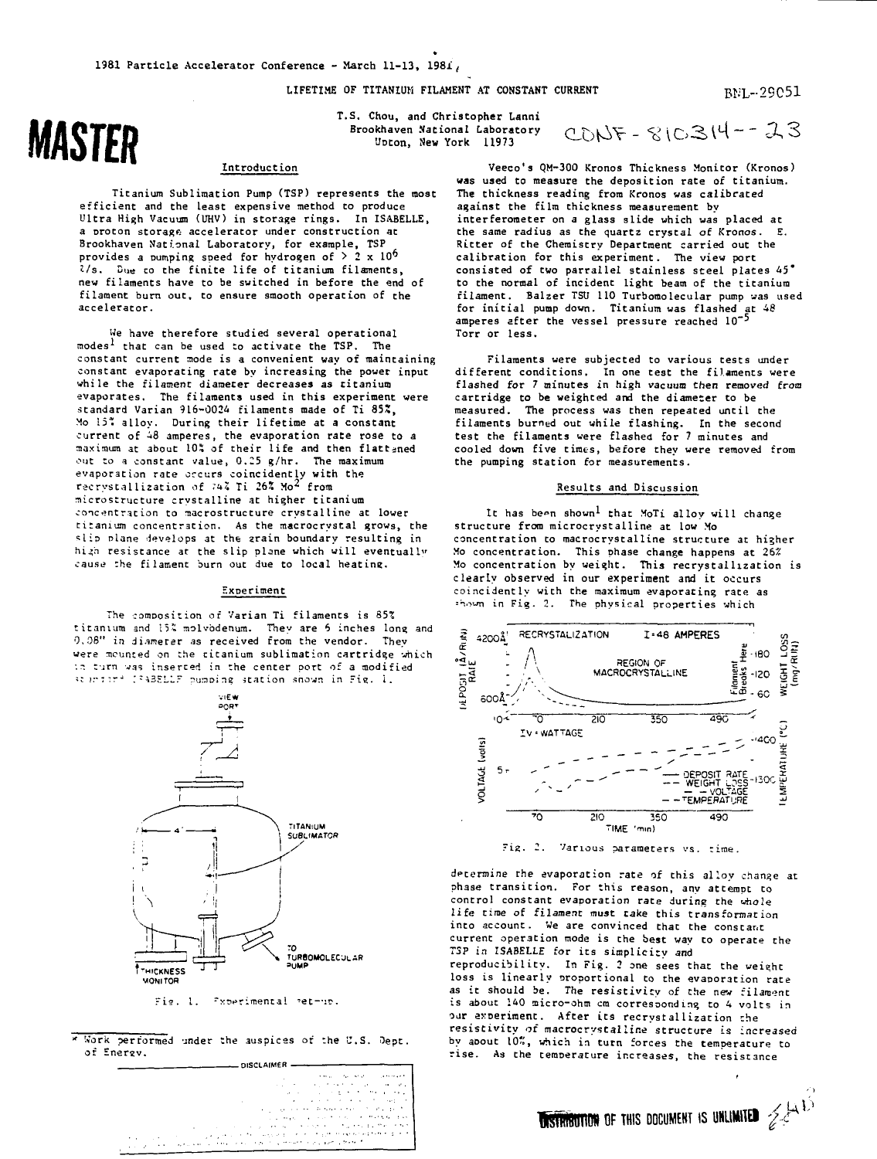**LIFETIME OF TITANIUM FILAMENT AT CONSTANT CURRENT**

#### **T.S. Chou, and Christopher Lanni Brookhaven National Laboratory Uoton, New York U97 3**

### **Introduction**

**Titanium Sublimation Pump (TSP) represents the most efficient and the least expensive method to produce L'ltra High Vacuum (UHV) in storage rings. In ISABELLE, a orocon storage accelerator under construction at Brookhaven National Laboratory, for example, TSP provides a pumping speed for hydrogen of > 2 x 10^ J/s. Due to the finite life of titanium filaments, new filaments have to be switched in before the end of filament burn out, to ensure smooth operation of the accelerator.**

**We have therefore studied several operational modes\* that can be used to activate the TSP. The constant current mode is a convenient way of maintaining constant evaporating rate by increasing the power input while the filament diameter decreases as titanium evaporates. The filaments used in this experiment were standard Varian 916-0024 filaments made of Ti 85", Mo 15" alloy. During their lifetime at a constant current of -18 amperes, the evaporation rate rose to a maximum at about 105 of their life and then flattened out to a constant value, 0.25 g/hr. The maximum evaporation rate occurs coincidently with the racrystallization of 7^7. Ti 26X Mo<sup>2</sup> from microstructure crystalline at higher titanium** concentration to macrostructure crystalline at lower **titanium concentration. As the macrocrystal grows, the ^Iio nlane develops at the arain boundary resulting in** high resistance at the slip plane which will eventually **causi? :he filament burn out due to local heating.**

### **Experiment**

**The composition of Varian Ti filaments is 853 titanium and i5'» molvbdenum. They are 6 inches long and 0,08" in diameter as received from the vendor. They were counted on :he titanium sublimation cartridge which : r; turn was inserted in the center port of a modified .' >r:-r~ ;;A3KLLF pu^Dine station snovn in "is. i.**



Fig. 1. Proecimental ret-up.

Work performed under :he auspices or :he 'J.S. Oept of Enersv.

| can process percentants.                                         |
|------------------------------------------------------------------|
|                                                                  |
| control of the control of the state<br><b>Contract Structure</b> |
| when the control of the control of                               |
| the contract of the contract of the state of the                 |
| and the state of the first state of the state of the first       |
| and steps of a constitution of the Method of the Li-             |
| making the complete in the condition of the first that<br>٠      |
| galgan and the company of the chart member of the train to be    |

 $CODF - SIO314 - -23$ 

Veeco's QM-300 Kronos Thickness Monitor (Kronos) was used to measure the deposition rate of titanium. The thickness reading from Kronos was calibrated against the film thickness measurement by interferometer on a glass slide which was placed at the same radius as the quartz crystal of Kronos. E. Ritter of the Chemistry Department carried out the calibration for this experiment. The view port consisted of two parrallel stainless steel plates 45" to the normal of incident light beam of the titanium filament. Balzer TSU 110 Turbomolecular pump was used fitament. Darzet iso ito furbomorecular pump was<br>for initial pump down. Titanium was flashed at 48<br>amperes after the vessel pressure reached 10<sup>-5</sup> Torr or less.

Filaments were subjected to various tests under different conditions. In one test the filaments were flashed for 7 minutes in high vacuum then removed from cartridge to be weighted and the diameter to be measured. The process was then repeated until the filaments burned out while flashing. In the second test the filaments were flashed for 7 minutes and cooled down five times, before they were removed from the pumping station for measurements.

# Results and Discussion

It has been shown<sup>1</sup> that MoTi alloy will change structure from microcrystalline at low Mo concentration to macrocrystalline structure at higher Mo concentration. This phase change happens at 26% Mo concentration by weight. This recrystallization is clearly observed in our experiment and it occurs coincidently with the maximum evaporating rate as = "..->un in Fig. 2. The physical properties which



Fig. 2. Various parameters vs. time.

determine rhe evaporation rate of this alloy change at phase transition. For this reason, any attempt to control constant evaporation rate during the whole life *time* of filament must take this transformation into account. We are convinced that the constant current operation mode is the best way to operate the *TSP* in ISABELLE for its simplicity and reproducibility. In Fig. 2 one sees that the weieht loss is linearly proportional to the evaporation rate as it should be. The resistivity of the nev filament is about 140 micro-ohm cm corresponding to 4 volts in our experiment. After its recrystallization the resistivity of macrocrystalline structure is increased by aoout 10", which in turn forces the temperature to rise. As the temperature increases, the resistance

**USTRIBUTION OF THIS DOCUMENT IS UNLIMITED**  $\mathcal{Z}^{(A,1)}$